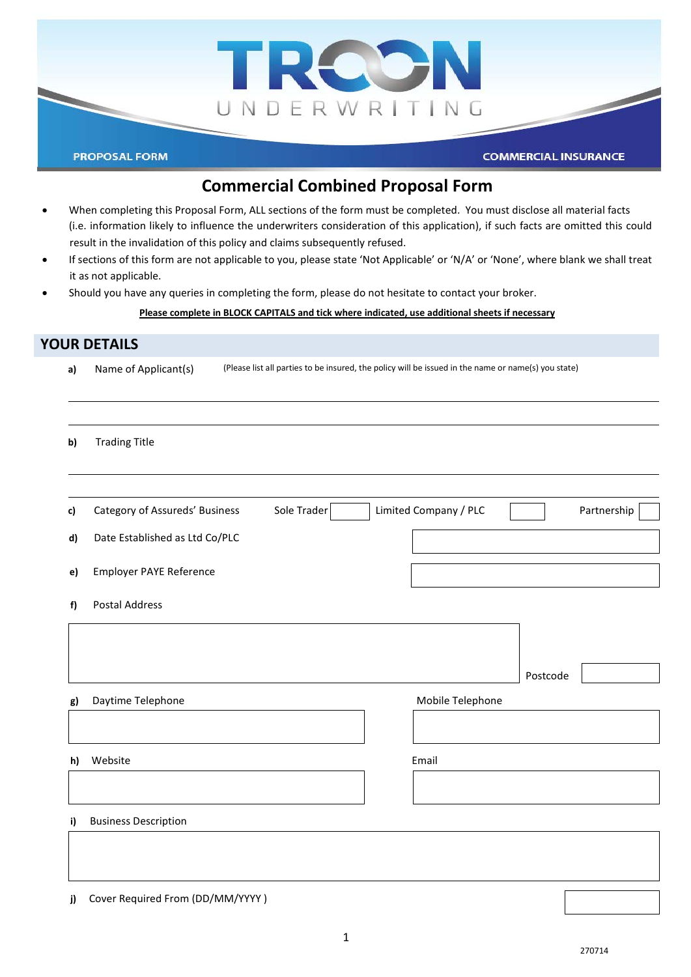

# **Commercial Combined Proposal Form**

- When completing this Proposal Form, ALL sections of the form must be completed. You must disclose all material facts (i.e. information likely to influence the underwriters consideration of this application), if such facts are omitted this could result in the invalidation of this policy and claims subsequently refused.
- If sections of this form are not applicable to you, please state 'Not Applicable' or 'N/A' or 'None', where blank we shall treat it as not applicable.
- Should you have any queries in completing the form, please do not hesitate to contact your broker.

### **Please complete in BLOCK CAPITALS and tick where indicated, use additional sheets if necessary**

## **YOUR DETAILS**

| a) | Name of Applicant(s)                          | (Please list all parties to be insured, the policy will be issued in the name or name(s) you state) |  |  |  |
|----|-----------------------------------------------|-----------------------------------------------------------------------------------------------------|--|--|--|
|    |                                               |                                                                                                     |  |  |  |
| b) | <b>Trading Title</b>                          |                                                                                                     |  |  |  |
|    |                                               |                                                                                                     |  |  |  |
| c) | Sole Trader<br>Category of Assureds' Business | Limited Company / PLC<br>Partnership                                                                |  |  |  |
| d) | Date Established as Ltd Co/PLC                |                                                                                                     |  |  |  |
| e) | Employer PAYE Reference                       |                                                                                                     |  |  |  |
| f) | <b>Postal Address</b>                         |                                                                                                     |  |  |  |
|    |                                               |                                                                                                     |  |  |  |
|    |                                               | Postcode                                                                                            |  |  |  |
| g) | Daytime Telephone                             | Mobile Telephone                                                                                    |  |  |  |
|    |                                               |                                                                                                     |  |  |  |
| h) | Website                                       | Email                                                                                               |  |  |  |
|    |                                               |                                                                                                     |  |  |  |
| i) | <b>Business Description</b>                   |                                                                                                     |  |  |  |
|    |                                               |                                                                                                     |  |  |  |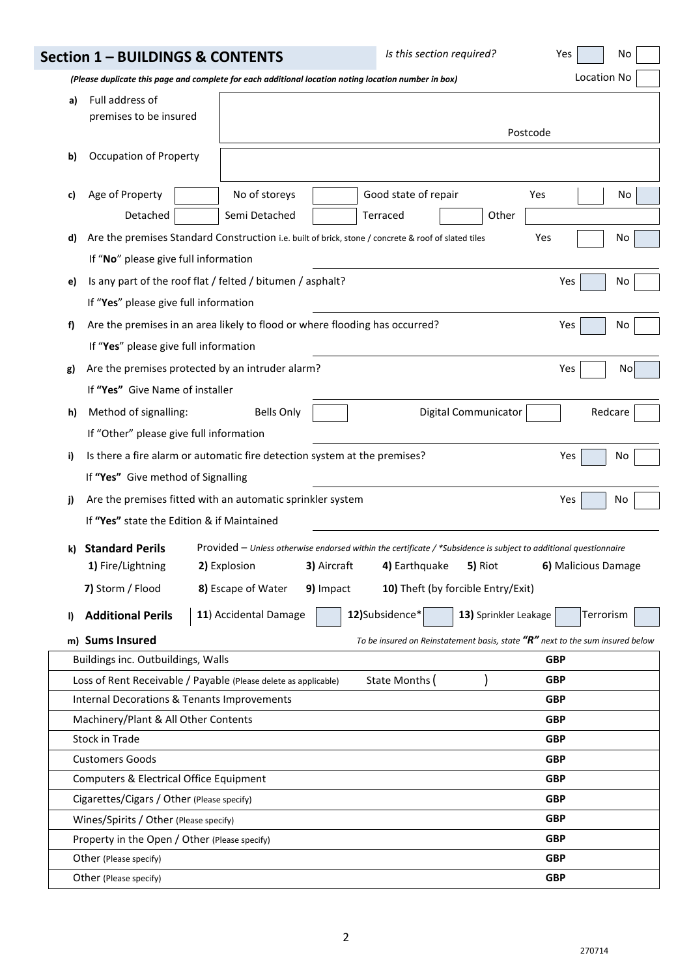|    | Section 1 - BUILDINGS & CONTENTS                                                                                     |                                                 | Is this section required?                                                                                                                                                                                | Yes<br>No                |  |  |  |
|----|----------------------------------------------------------------------------------------------------------------------|-------------------------------------------------|----------------------------------------------------------------------------------------------------------------------------------------------------------------------------------------------------------|--------------------------|--|--|--|
|    | (Please duplicate this page and complete for each additional location noting location number in box)                 |                                                 |                                                                                                                                                                                                          | Location No              |  |  |  |
| a) | Full address of<br>premises to be insured<br>Postcode                                                                |                                                 |                                                                                                                                                                                                          |                          |  |  |  |
| b) | <b>Occupation of Property</b>                                                                                        |                                                 |                                                                                                                                                                                                          |                          |  |  |  |
| c) | Age of Property<br>Detached                                                                                          | No of storeys<br>Semi Detached                  | Good state of repair<br>Terraced<br>Other                                                                                                                                                                | Yes<br>No                |  |  |  |
| d) | If "No" please give full information                                                                                 |                                                 | Are the premises Standard Construction i.e. built of brick, stone / concrete & roof of slated tiles                                                                                                      | Yes<br>No                |  |  |  |
| e) | Is any part of the roof flat / felted / bitumen / asphalt?<br>If "Yes" please give full information                  |                                                 |                                                                                                                                                                                                          | Yes<br>No                |  |  |  |
| f) | Are the premises in an area likely to flood or where flooding has occurred?<br>If "Yes" please give full information |                                                 |                                                                                                                                                                                                          | Yes<br>No                |  |  |  |
| g) | Are the premises protected by an intruder alarm?<br>If "Yes" Give Name of installer                                  |                                                 |                                                                                                                                                                                                          | Yes<br>No                |  |  |  |
| h) | Method of signalling:<br>If "Other" please give full information                                                     | <b>Bells Only</b>                               | Digital Communicator                                                                                                                                                                                     | Redcare                  |  |  |  |
| i) | Is there a fire alarm or automatic fire detection system at the premises?<br>If "Yes" Give method of Signalling      |                                                 |                                                                                                                                                                                                          | Yes<br>No                |  |  |  |
| j) | Are the premises fitted with an automatic sprinkler system<br>If "Yes" state the Edition & if Maintained             |                                                 |                                                                                                                                                                                                          | Yes<br>No                |  |  |  |
| k) | <b>Standard Perils</b><br>1) Fire/Lightning<br>7) Storm / Flood                                                      | 2) Explosion<br>9) Impact<br>8) Escape of Water | Provided - Unless otherwise endorsed within the certificate / *Subsidence is subject to additional questionnaire<br>3) Aircraft<br>4) Earthquake<br><b>5)</b> Riot<br>10) Theft (by forcible Entry/Exit) | 6) Malicious Damage      |  |  |  |
| I) | <b>Additional Perils</b>                                                                                             | 11) Accidental Damage                           | 12)Subsidence*<br>13) Sprinkler Leakage                                                                                                                                                                  | Terrorism                |  |  |  |
|    | m) Sums Insured                                                                                                      |                                                 | To be insured on Reinstatement basis, state $"R"$ next to the sum insured below                                                                                                                          |                          |  |  |  |
|    | Buildings inc. Outbuildings, Walls                                                                                   |                                                 |                                                                                                                                                                                                          | <b>GBP</b>               |  |  |  |
|    | Loss of Rent Receivable / Payable (Please delete as applicable)                                                      |                                                 | State Months (                                                                                                                                                                                           | <b>GBP</b>               |  |  |  |
|    | Internal Decorations & Tenants Improvements<br><b>GBP</b>                                                            |                                                 |                                                                                                                                                                                                          |                          |  |  |  |
|    | Machinery/Plant & All Other Contents<br><b>GBP</b>                                                                   |                                                 |                                                                                                                                                                                                          |                          |  |  |  |
|    | <b>Stock in Trade</b><br><b>GBP</b>                                                                                  |                                                 |                                                                                                                                                                                                          |                          |  |  |  |
|    | <b>Customers Goods</b><br><b>GBP</b>                                                                                 |                                                 |                                                                                                                                                                                                          |                          |  |  |  |
|    | <b>GBP</b><br>Computers & Electrical Office Equipment                                                                |                                                 |                                                                                                                                                                                                          |                          |  |  |  |
|    | Cigarettes/Cigars / Other (Please specify)                                                                           |                                                 |                                                                                                                                                                                                          | <b>GBP</b>               |  |  |  |
|    | Wines/Spirits / Other (Please specify)                                                                               |                                                 |                                                                                                                                                                                                          | <b>GBP</b>               |  |  |  |
|    | Property in the Open / Other (Please specify)<br>Other (Please specify)                                              |                                                 |                                                                                                                                                                                                          | <b>GBP</b><br><b>GBP</b> |  |  |  |
|    | Other (Please specify)                                                                                               |                                                 |                                                                                                                                                                                                          | <b>GBP</b>               |  |  |  |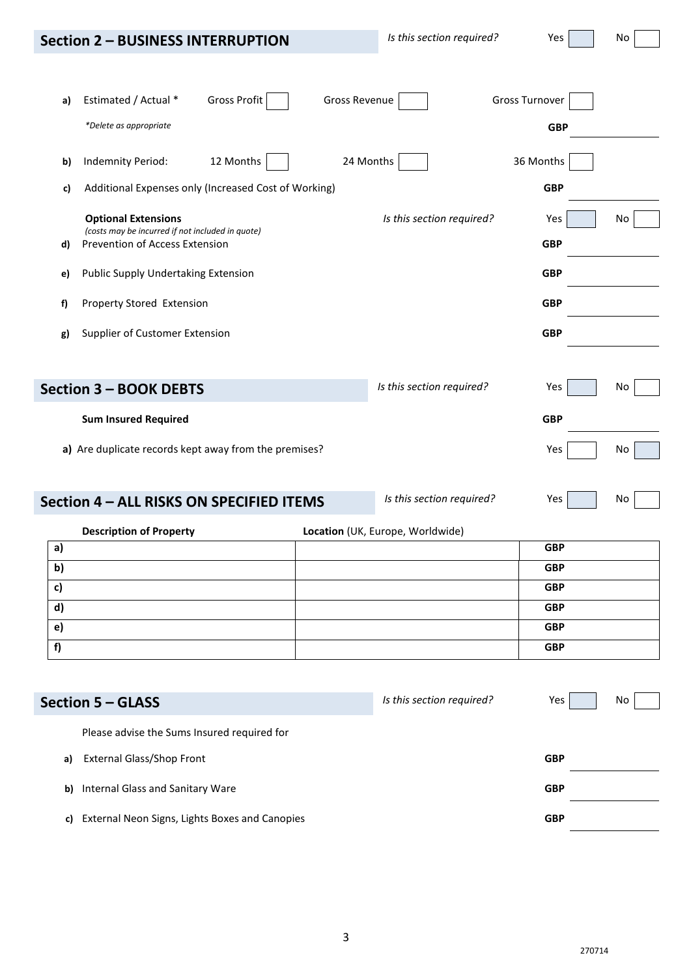|  | <b>Section 2 - BUSINESS INTERRUPTION</b> |  |  |
|--|------------------------------------------|--|--|
|--|------------------------------------------|--|--|

| ٠<br>٧ |
|--------|
|--------|

| a)           | <b>Gross Profit</b><br>Estimated / Actual *                                        | <b>Gross Revenue</b> |                                  | <b>Gross Turnover</b> |    |
|--------------|------------------------------------------------------------------------------------|----------------------|----------------------------------|-----------------------|----|
|              | *Delete as appropriate                                                             |                      |                                  | <b>GBP</b>            |    |
| b)           | 12 Months<br>Indemnity Period:                                                     | 24 Months            |                                  | 36 Months             |    |
| c)           | Additional Expenses only (Increased Cost of Working)                               |                      |                                  | <b>GBP</b>            |    |
|              | <b>Optional Extensions</b>                                                         |                      | Is this section required?        | Yes                   | No |
| d)           | (costs may be incurred if not included in quote)<br>Prevention of Access Extension |                      |                                  | <b>GBP</b>            |    |
| e)           | Public Supply Undertaking Extension                                                |                      |                                  | <b>GBP</b>            |    |
| f)           | Property Stored Extension                                                          |                      |                                  | <b>GBP</b>            |    |
| g)           | Supplier of Customer Extension                                                     |                      |                                  | <b>GBP</b>            |    |
|              |                                                                                    |                      |                                  |                       |    |
|              | <b>Section 3 - BOOK DEBTS</b>                                                      |                      | Is this section required?        | Yes                   | No |
|              | <b>Sum Insured Required</b>                                                        |                      |                                  | <b>GBP</b>            |    |
|              | a) Are duplicate records kept away from the premises?                              |                      |                                  | Yes                   | No |
|              |                                                                                    |                      |                                  |                       |    |
|              | Section 4 - ALL RISKS ON SPECIFIED ITEMS                                           |                      | Is this section required?        | Yes                   | No |
|              | <b>Description of Property</b>                                                     |                      | Location (UK, Europe, Worldwide) |                       |    |
| a)           |                                                                                    |                      |                                  | <b>GBP</b>            |    |
| b)           |                                                                                    |                      |                                  | <b>GBP</b>            |    |
| c)           |                                                                                    |                      |                                  | <b>GBP</b>            |    |
| d)           |                                                                                    |                      |                                  | <b>GBP</b>            |    |
| $\mathbf{e}$ |                                                                                    |                      |                                  | <b>GBP</b>            |    |
| f)           |                                                                                    |                      |                                  | <b>GBP</b>            |    |
|              | <b>Section 5 - GLASS</b>                                                           |                      | Is this section required?        | Yes                   | No |
|              | Please advise the Sums Insured required for                                        |                      |                                  |                       |    |
| a)           | <b>External Glass/Shop Front</b>                                                   |                      |                                  | <b>GBP</b>            |    |
| b)           | <b>Internal Glass and Sanitary Ware</b>                                            |                      |                                  | <b>GBP</b>            |    |
| c)           | External Neon Signs, Lights Boxes and Canopies                                     |                      |                                  | <b>GBP</b>            |    |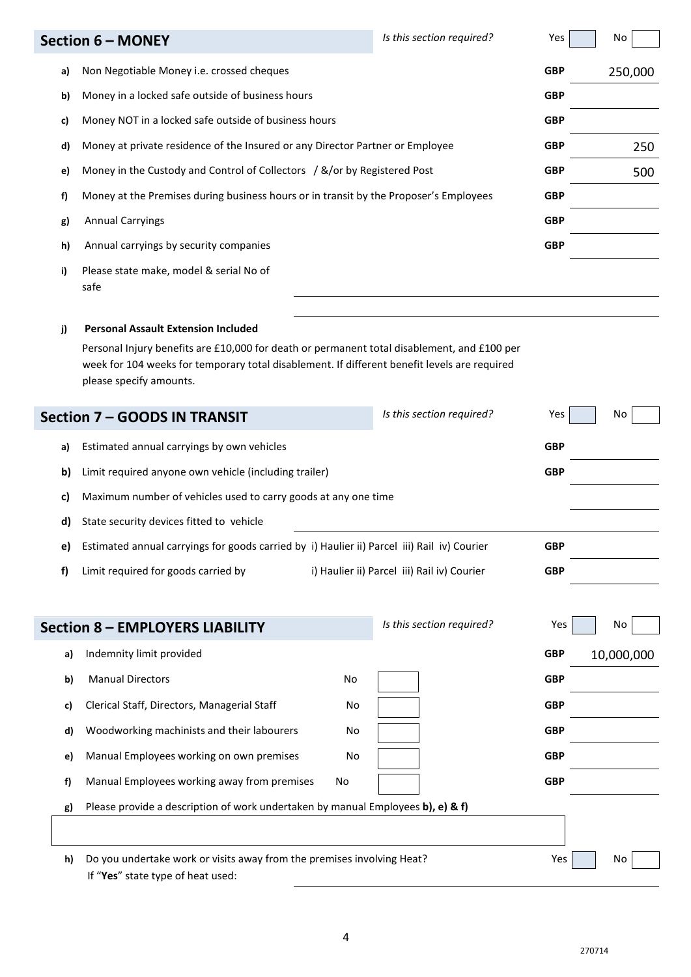|    | <b>Section 6 - MONEY</b>                                                                                                                                                                                                                                             | Is this section required?                   | Yes        | No         |
|----|----------------------------------------------------------------------------------------------------------------------------------------------------------------------------------------------------------------------------------------------------------------------|---------------------------------------------|------------|------------|
| a) | Non Negotiable Money i.e. crossed cheques                                                                                                                                                                                                                            |                                             | <b>GBP</b> | 250,000    |
| b) | Money in a locked safe outside of business hours                                                                                                                                                                                                                     |                                             | <b>GBP</b> |            |
| c) | Money NOT in a locked safe outside of business hours                                                                                                                                                                                                                 |                                             | <b>GBP</b> |            |
| d) | Money at private residence of the Insured or any Director Partner or Employee                                                                                                                                                                                        |                                             | <b>GBP</b> | 250        |
| e) | Money in the Custody and Control of Collectors / &/or by Registered Post                                                                                                                                                                                             |                                             | <b>GBP</b> | 500        |
| f) | Money at the Premises during business hours or in transit by the Proposer's Employees                                                                                                                                                                                |                                             | <b>GBP</b> |            |
| g) | <b>Annual Carryings</b>                                                                                                                                                                                                                                              |                                             | <b>GBP</b> |            |
| h) | Annual carryings by security companies                                                                                                                                                                                                                               |                                             | <b>GBP</b> |            |
| i) | Please state make, model & serial No of<br>safe                                                                                                                                                                                                                      |                                             |            |            |
| j) | <b>Personal Assault Extension Included</b><br>Personal Injury benefits are £10,000 for death or permanent total disablement, and £100 per<br>week for 104 weeks for temporary total disablement. If different benefit levels are required<br>please specify amounts. |                                             |            |            |
|    | <b>Section 7 - GOODS IN TRANSIT</b>                                                                                                                                                                                                                                  | Is this section required?                   | Yes        | No         |
| a) | Estimated annual carryings by own vehicles                                                                                                                                                                                                                           |                                             | <b>GBP</b> |            |
| b) | Limit required anyone own vehicle (including trailer)                                                                                                                                                                                                                |                                             | <b>GBP</b> |            |
| C) | Maximum number of vehicles used to carry goods at any one time                                                                                                                                                                                                       |                                             |            |            |
| d) | State security devices fitted to vehicle                                                                                                                                                                                                                             |                                             |            |            |
| e) | Estimated annual carryings for goods carried by i) Haulier ii) Parcel iii) Rail iv) Courier                                                                                                                                                                          |                                             | <b>GBP</b> |            |
| f) | Limit required for goods carried by                                                                                                                                                                                                                                  | i) Haulier ii) Parcel iii) Rail iv) Courier | <b>GBP</b> |            |
|    |                                                                                                                                                                                                                                                                      | Is this section required?                   |            |            |
|    | <b>Section 8 - EMPLOYERS LIABILITY</b>                                                                                                                                                                                                                               |                                             | Yes        | No         |
| a) | Indemnity limit provided                                                                                                                                                                                                                                             |                                             | <b>GBP</b> | 10,000,000 |
| b) | <b>Manual Directors</b><br>No                                                                                                                                                                                                                                        |                                             | <b>GBP</b> |            |
| c) | Clerical Staff, Directors, Managerial Staff<br>No                                                                                                                                                                                                                    |                                             | <b>GBP</b> |            |
| d) | Woodworking machinists and their labourers<br>No                                                                                                                                                                                                                     |                                             | <b>GBP</b> |            |
| e) | Manual Employees working on own premises<br>No                                                                                                                                                                                                                       |                                             | <b>GBP</b> |            |
| f) | Manual Employees working away from premises<br>No                                                                                                                                                                                                                    |                                             | <b>GBP</b> |            |
| g) | Please provide a description of work undertaken by manual Employees b), e) & f)                                                                                                                                                                                      |                                             |            |            |
|    |                                                                                                                                                                                                                                                                      |                                             |            |            |
| h) | Do you undertake work or visits away from the premises involving Heat?<br>If "Yes" state type of heat used:                                                                                                                                                          |                                             | Yes        | No         |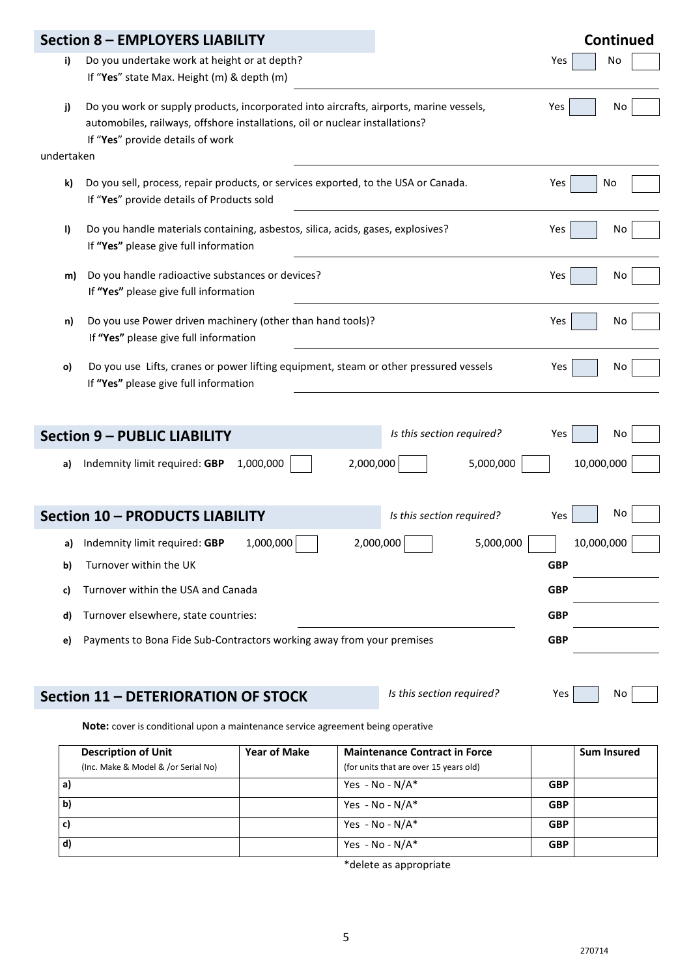|    | <b>Section 8 - EMPLOYERS LIABILITY</b>                                                                                                                                                                            | <b>Continued</b> |
|----|-------------------------------------------------------------------------------------------------------------------------------------------------------------------------------------------------------------------|------------------|
| i) | Do you undertake work at height or at depth?<br>Yes<br>If "Yes" state Max. Height (m) & depth (m)                                                                                                                 | No               |
| j) | Do you work or supply products, incorporated into aircrafts, airports, marine vessels,<br>Yes<br>automobiles, railways, offshore installations, oil or nuclear installations?<br>If "Yes" provide details of work | No               |
|    | undertaken                                                                                                                                                                                                        |                  |
| k) | Do you sell, process, repair products, or services exported, to the USA or Canada.<br>Yes<br>If "Yes" provide details of Products sold                                                                            | No               |
| I) | Do you handle materials containing, asbestos, silica, acids, gases, explosives?<br>Yes<br>If "Yes" please give full information                                                                                   | No               |
| m) | Do you handle radioactive substances or devices?<br>Yes<br>If "Yes" please give full information                                                                                                                  | No               |
| n) | Do you use Power driven machinery (other than hand tools)?<br>Yes<br>If "Yes" please give full information                                                                                                        | No               |
| o) | Do you use Lifts, cranes or power lifting equipment, steam or other pressured vessels<br>Yes<br>If "Yes" please give full information                                                                             | No               |
|    |                                                                                                                                                                                                                   |                  |
|    | Is this section required?<br><b>Section 9 - PUBLIC LIABILITY</b><br>Yes                                                                                                                                           | No               |
| a) | 2,000,000<br>10,000,000<br>1,000,000<br>5,000,000<br>Indemnity limit required: GBP                                                                                                                                |                  |
|    | <b>Section 10 - PRODUCTS LIABILITY</b><br>Is this section required?<br>Yes                                                                                                                                        | No               |
|    | 1,000,000<br>2,000,000<br>5,000,000<br>a) Indemnity limit required: GBP<br>10,000,000                                                                                                                             |                  |
| b) | Turnover within the UK<br><b>GBP</b>                                                                                                                                                                              |                  |
| c) | Turnover within the USA and Canada<br><b>GBP</b>                                                                                                                                                                  |                  |
| d) | Turnover elsewhere, state countries:<br><b>GBP</b>                                                                                                                                                                |                  |
| e) | Payments to Bona Fide Sub-Contractors working away from your premises<br><b>GBP</b>                                                                                                                               |                  |
|    | Is this section required?<br>Yes<br><b>Section 11 - DETERIORATION OF STOCK</b>                                                                                                                                    | No               |
|    | Note: cover is conditional upon a maintenance service agreement being operative                                                                                                                                   |                  |
|    |                                                                                                                                                                                                                   |                  |

| <b>Description of Unit</b>          | <b>Year of Make</b> | <b>Maintenance Contract in Force</b>   |            | <b>Sum Insured</b> |
|-------------------------------------|---------------------|----------------------------------------|------------|--------------------|
| (Inc. Make & Model & /or Serial No) |                     | (for units that are over 15 years old) |            |                    |
| a)                                  |                     | Yes - No - $N/A^*$                     | <b>GBP</b> |                    |
| $\vert$ b)                          |                     | Yes - No - $N/A^*$                     | <b>GBP</b> |                    |
| c)                                  |                     | Yes - No - $N/A^*$                     | <b>GBP</b> |                    |
| $\mathsf{d}$                        |                     | Yes - No - $N/A^*$                     | <b>GBP</b> |                    |

\*delete as appropriate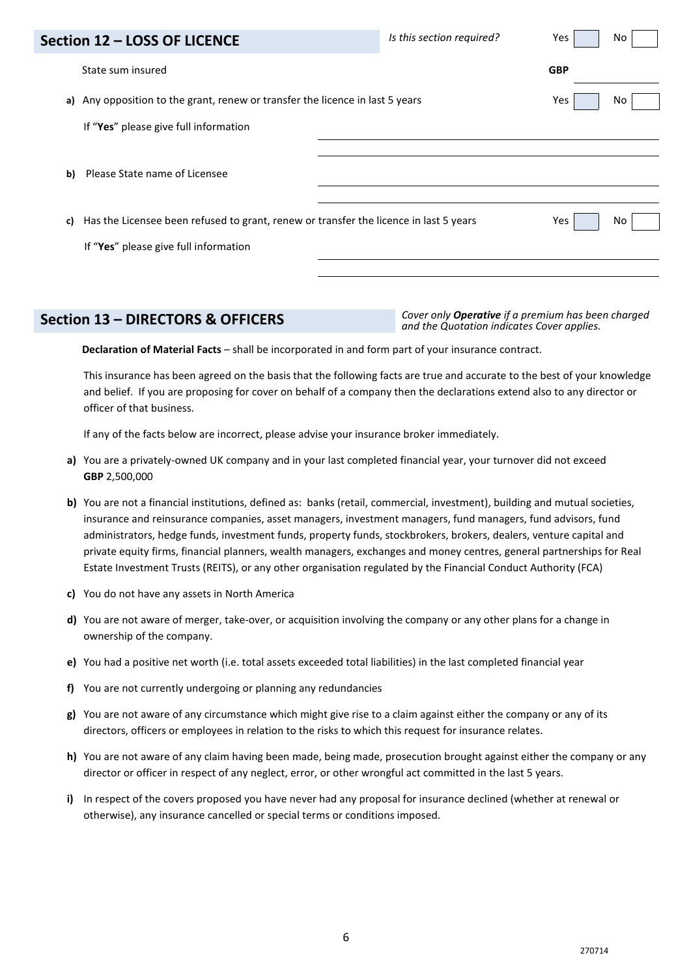| Section 12 - LOSS OF LICENCE                                                  | Is this section required?                                                             | Yes<br>No  |
|-------------------------------------------------------------------------------|---------------------------------------------------------------------------------------|------------|
| State sum insured                                                             |                                                                                       | <b>GBP</b> |
| a) Any opposition to the grant, renew or transfer the licence in last 5 years |                                                                                       | Yes<br>No  |
| If "Yes" please give full information                                         |                                                                                       |            |
| Please State name of Licensee<br>b)                                           |                                                                                       |            |
| c)<br>If "Yes" please give full information                                   | Has the Licensee been refused to grant, renew or transfer the licence in last 5 years | Yes<br>No  |
|                                                                               |                                                                                       |            |

**Section 13 – DIRECTORS & OFFICERS** *Cover only Operative if a premium has been charged and the Quotation indicates Cover applies.* 

**Declaration of Material Facts** – shall be incorporated in and form part of your insurance contract.

This insurance has been agreed on the basis that the following facts are true and accurate to the best of your knowledge and belief. If you are proposing for cover on behalf of a company then the declarations extend also to any director or officer of that business.

If any of the facts below are incorrect, please advise your insurance broker immediately.

- **a)** You are a privately-owned UK company and in your last completed financial year, your turnover did not exceed **GBP** 2,500,000
- **b)** You are not a financial institutions, defined as: banks (retail, commercial, investment), building and mutual societies, insurance and reinsurance companies, asset managers, investment managers, fund managers, fund advisors, fund administrators, hedge funds, investment funds, property funds, stockbrokers, brokers, dealers, venture capital and private equity firms, financial planners, wealth managers, exchanges and money centres, general partnerships for Real Estate Investment Trusts (REITS), or any other organisation regulated by the Financial Conduct Authority (FCA)
- **c)** You do not have any assets in North America
- **d)** You are not aware of merger, take-over, or acquisition involving the company or any other plans for a change in ownership of the company.
- **e)** You had a positive net worth (i.e. total assets exceeded total liabilities) in the last completed financial year
- **f)** You are not currently undergoing or planning any redundancies
- **g)** You are not aware of any circumstance which might give rise to a claim against either the company or any of its directors, officers or employees in relation to the risks to which this request for insurance relates.
- **h)** You are not aware of any claim having been made, being made, prosecution brought against either the company or any director or officer in respect of any neglect, error, or other wrongful act committed in the last 5 years.
- **i)** In respect of the covers proposed you have never had any proposal for insurance declined (whether at renewal or otherwise), any insurance cancelled or special terms or conditions imposed.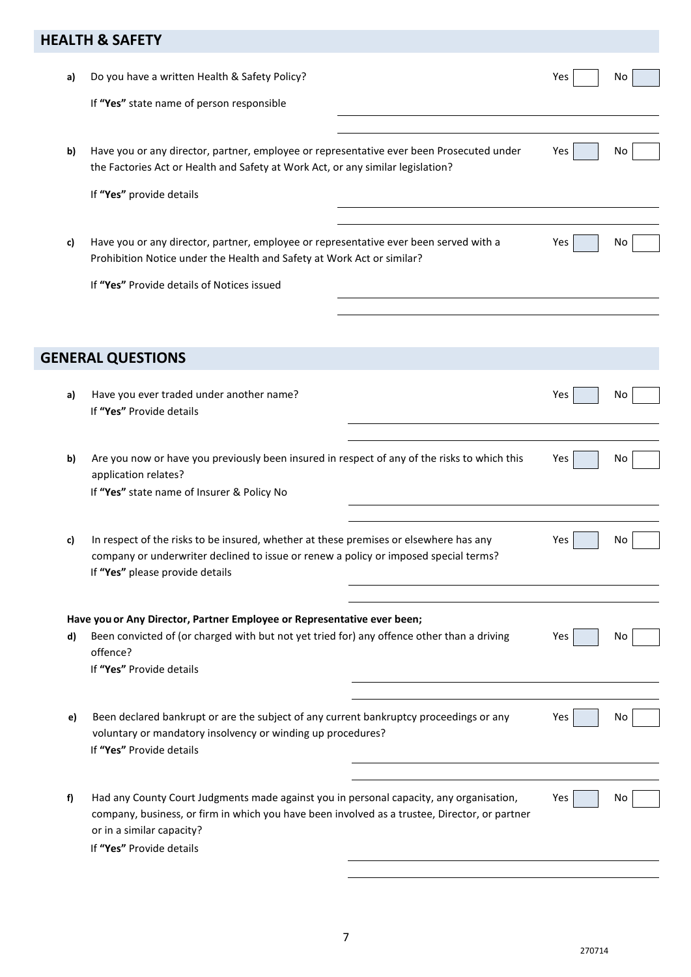# **HEALTH & SAFETY**

| a) | Do you have a written Health & Safety Policy?                                                                                                                                                                    | Yes | No |
|----|------------------------------------------------------------------------------------------------------------------------------------------------------------------------------------------------------------------|-----|----|
|    | If "Yes" state name of person responsible                                                                                                                                                                        |     |    |
|    |                                                                                                                                                                                                                  |     |    |
| b) | Have you or any director, partner, employee or representative ever been Prosecuted under<br>the Factories Act or Health and Safety at Work Act, or any similar legislation?                                      | Yes | No |
|    | If "Yes" provide details                                                                                                                                                                                         |     |    |
|    |                                                                                                                                                                                                                  |     |    |
| c) | Have you or any director, partner, employee or representative ever been served with a<br>Prohibition Notice under the Health and Safety at Work Act or similar?                                                  | Yes | No |
|    | If "Yes" Provide details of Notices issued                                                                                                                                                                       |     |    |
|    |                                                                                                                                                                                                                  |     |    |
|    |                                                                                                                                                                                                                  |     |    |
|    | <b>GENERAL QUESTIONS</b>                                                                                                                                                                                         |     |    |
| a) | Have you ever traded under another name?<br>If "Yes" Provide details                                                                                                                                             | Yes | No |
| b) | Are you now or have you previously been insured in respect of any of the risks to which this                                                                                                                     | Yes | No |
|    | application relates?<br>If "Yes" state name of Insurer & Policy No                                                                                                                                               |     |    |
|    |                                                                                                                                                                                                                  |     |    |
| c) | In respect of the risks to be insured, whether at these premises or elsewhere has any<br>company or underwriter declined to issue or renew a policy or imposed special terms?<br>If "Yes" please provide details | Yes | Νo |
|    |                                                                                                                                                                                                                  |     |    |
|    | Have you or Any Director, Partner Employee or Representative ever been;                                                                                                                                          |     |    |
| d) | Been convicted of (or charged with but not yet tried for) any offence other than a driving<br>offence?                                                                                                           | Yes | No |
|    | If "Yes" Provide details                                                                                                                                                                                         |     |    |
| e) | Been declared bankrupt or are the subject of any current bankruptcy proceedings or any                                                                                                                           | Yes | No |
|    | voluntary or mandatory insolvency or winding up procedures?<br>If "Yes" Provide details                                                                                                                          |     |    |
| f) | Had any County Court Judgments made against you in personal capacity, any organisation,                                                                                                                          | Yes | No |
|    | company, business, or firm in which you have been involved as a trustee, Director, or partner<br>or in a similar capacity?                                                                                       |     |    |
|    | If "Yes" Provide details                                                                                                                                                                                         |     |    |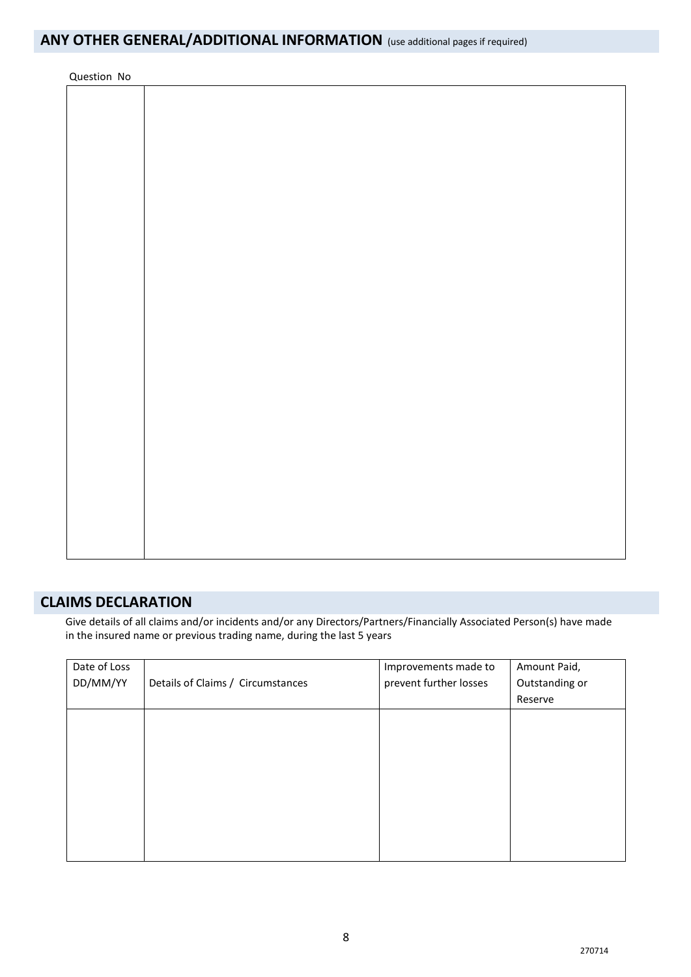| Question No |  |  |  |
|-------------|--|--|--|
|             |  |  |  |
|             |  |  |  |
|             |  |  |  |
|             |  |  |  |
|             |  |  |  |
|             |  |  |  |
|             |  |  |  |
|             |  |  |  |
|             |  |  |  |
|             |  |  |  |
|             |  |  |  |
|             |  |  |  |
|             |  |  |  |
|             |  |  |  |
|             |  |  |  |
|             |  |  |  |
|             |  |  |  |
|             |  |  |  |
|             |  |  |  |
|             |  |  |  |
|             |  |  |  |
|             |  |  |  |
|             |  |  |  |
|             |  |  |  |
|             |  |  |  |
|             |  |  |  |
|             |  |  |  |
|             |  |  |  |
|             |  |  |  |
|             |  |  |  |
|             |  |  |  |
|             |  |  |  |
|             |  |  |  |
|             |  |  |  |
|             |  |  |  |
|             |  |  |  |

## **CLAIMS DECLARATION**

Give details of all claims and/or incidents and/or any Directors/Partners/Financially Associated Person(s) have made in the insured name or previous trading name, during the last 5 years

| Date of Loss |                                   | Improvements made to   | Amount Paid,   |
|--------------|-----------------------------------|------------------------|----------------|
| DD/MM/YY     | Details of Claims / Circumstances | prevent further losses | Outstanding or |
|              |                                   |                        | Reserve        |
|              |                                   |                        |                |
|              |                                   |                        |                |
|              |                                   |                        |                |
|              |                                   |                        |                |
|              |                                   |                        |                |
|              |                                   |                        |                |
|              |                                   |                        |                |
|              |                                   |                        |                |
|              |                                   |                        |                |